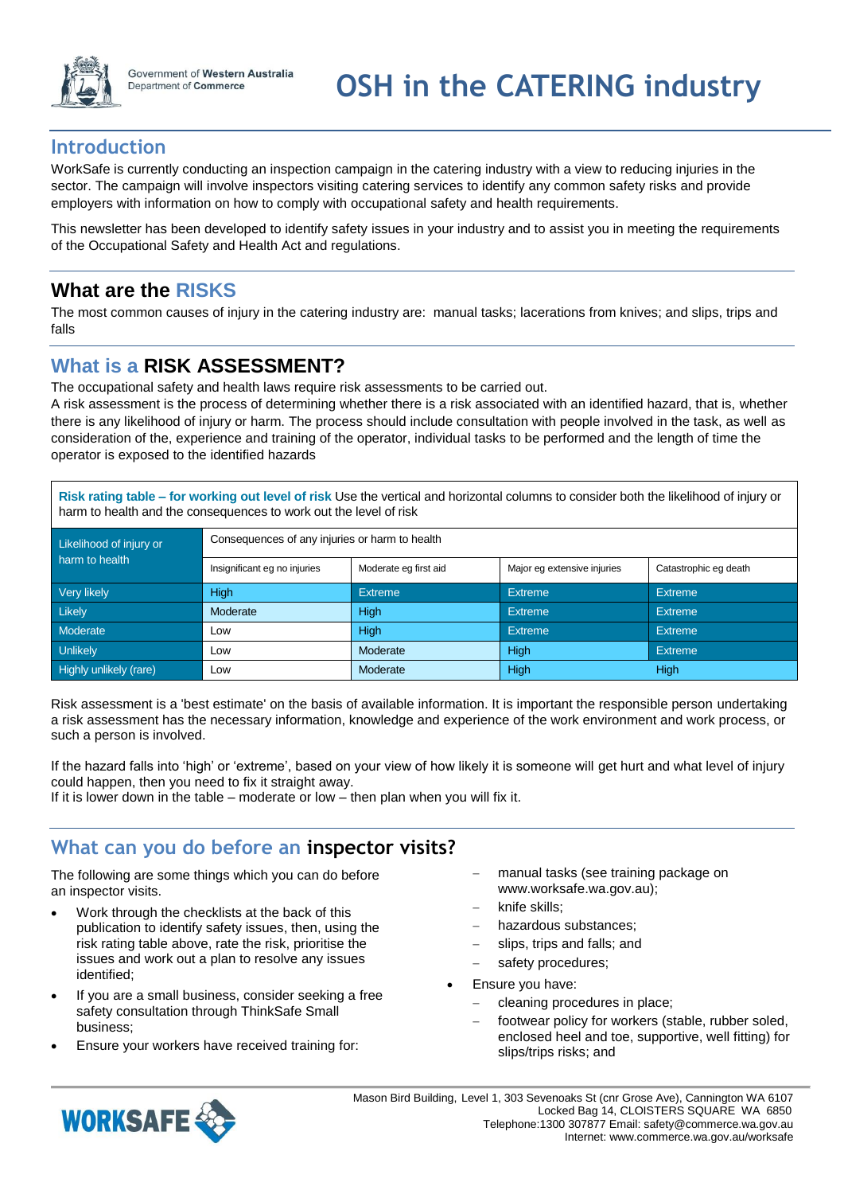

## **Introduction**

WorkSafe is currently conducting an inspection campaign in the catering industry with a view to reducing injuries in the sector. The campaign will involve inspectors visiting catering services to identify any common safety risks and provide employers with information on how to comply with occupational safety and health requirements.

This newsletter has been developed to identify safety issues in your industry and to assist you in meeting the requirements of the Occupational Safety and Health Act and regulations.

## **What are the RISKS**

The most common causes of injury in the catering industry are: manual tasks; lacerations from knives; and slips, trips and falls

## **What is a RISK ASSESSMENT?**

The occupational safety and health laws require risk assessments to be carried out.

A risk assessment is the process of determining whether there is a risk associated with an identified hazard, that is, whether there is any likelihood of injury or harm. The process should include consultation with people involved in the task, as well as consideration of the, experience and training of the operator, individual tasks to be performed and the length of time the operator is exposed to the identified hazards

**Risk rating table – for working out level of risk** Use the vertical and horizontal columns to consider both the likelihood of injury or harm to health and the consequences to work out the level of risk

| Likelihood of injury or | Consequences of any injuries or harm to health |                       |                             |                       |  |  |
|-------------------------|------------------------------------------------|-----------------------|-----------------------------|-----------------------|--|--|
| harm to health          | Insignificant eg no injuries                   | Moderate eg first aid | Major eg extensive injuries | Catastrophic eg death |  |  |
| Very likely             | High                                           | <b>Extreme</b>        | <b>Extreme</b>              | <b>Extreme</b>        |  |  |
| <b>Likely</b>           | Moderate                                       | <b>High</b>           | <b>Extreme</b>              | <b>Extreme</b>        |  |  |
| Moderate                | Low                                            | High                  | <b>Extreme</b>              | <b>Extreme</b>        |  |  |
| <b>Unlikely</b>         | Low                                            | Moderate              | High                        | <b>Extreme</b>        |  |  |
| Highly unlikely (rare)  | Low                                            | Moderate              | High                        | High                  |  |  |

Risk assessment is a 'best estimate' on the basis of available information. It is important the responsible person undertaking a risk assessment has the necessary information, knowledge and experience of the work environment and work process, or such a person is involved.

If the hazard falls into 'high' or 'extreme', based on your view of how likely it is someone will get hurt and what level of injury could happen, then you need to fix it straight away.

If it is lower down in the table – moderate or low – then plan when you will fix it.

## **What can you do before an inspector visits?**

The following are some things which you can do before an inspector visits.

- Work through the checklists at the back of this publication to identify safety issues, then, using the risk rating table above, rate the risk, prioritise the issues and work out a plan to resolve any issues identified;
- If you are a small business, consider seeking a free safety consultation through ThinkSafe Small business;
- Ensure your workers have received training for:
- manual tasks (see training package on www.worksafe.wa.gov.au);
- knife skills;
- hazardous substances;
- slips, trips and falls; and
- safety procedures;
- Ensure you have:
	- cleaning procedures in place;
	- footwear policy for workers (stable, rubber soled, enclosed heel and toe, supportive, well fitting) for slips/trips risks; and

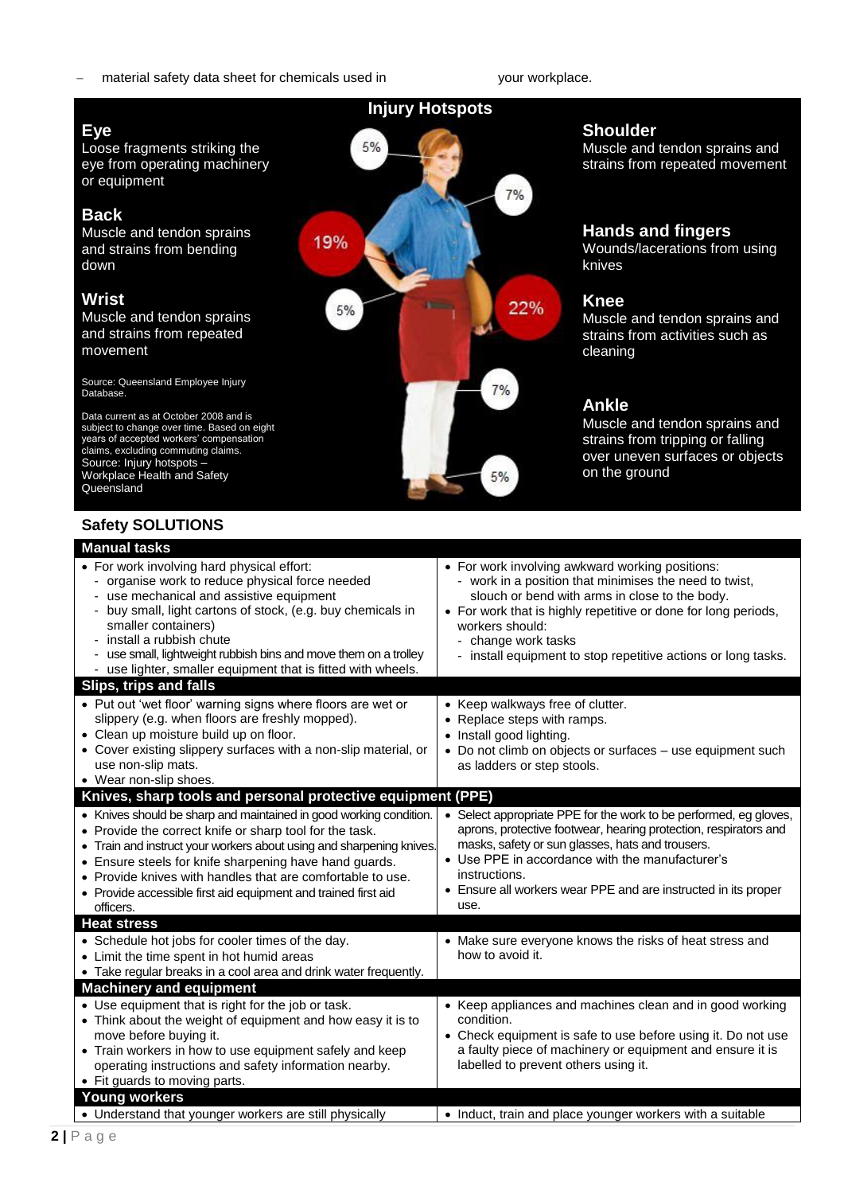#### material safety data sheet for chemicals used in your workplace.

#### **Injury Hotspots**

#### **Eye** Loose fragments striking the 5% eye from operating machinery or equipment  $7%$ **Back** Muscle and tendon sprains 19% and strains from bending down **Wrist** 22% 5% Muscle and tendon sprains and strains from repeated movement Source: Queensland Employee Injury  $7%$ Database. Data current as at October 2008 and is subject to change over time. Based on eight years of accepted workers' compensation claims, excluding commuting claims. Source: Injury hotspots – Workplace Health and Safety 5% Queensland **Safety SOLUTIONS Manual tasks** • For work involving hard physical effort: For work involving awkward working positions: - organise work to reduce physical force needed work in a position that minimises the need to twist, use mechanical and assistive equipment slouch or bend with arms in close to the body. buy small, light cartons of stock, (e.g. buy chemicals in • For work that is highly repetitive or done for long periods, smaller containers) workers should: - install a rubbish chute - change work tasks - use small, lightweight rubbish bins and move them on a trolley - install equipment to stop repetitive actions or long tasks. use lighter, smaller equipment that is fitted with wheels **Slips, trips and falls** • Put out 'wet floor' warning signs where floors are wet or • Keep walkways free of clutter. slippery (e.g. when floors are freshly mopped). • Replace steps with ramps. Clean up moisture build up on floor. • Install good lighting. Cover existing slippery surfaces with a non-slip material, or Do not climb on objects or surfaces – use equipment such use non-slip mats. as ladders or step stools. Wear non-slip shoes. **Knives, sharp tools and personal protective equipment (PPE)** • Knives should be sharp and maintained in good working condition. • Select appropriate PPE for the work to be performed, eg gloves, • Provide the correct knife or sharp tool for the task. aprons, protective footwear, hearing protection, respirators and masks, safety or sun glasses, hats and trousers. • Train and instruct your workers about using and sharpening knives. Use PPE in accordance with the manufacturer's Ensure steels for knife sharpening have hand guards. **instructions**  Provide knives with handles that are comfortable to use. Ensure all workers wear PPE and are instructed in its proper • Provide accessible first aid equipment and trained first aid use. officers. **Heat stress** • Schedule hot jobs for cooler times of the day. Make sure everyone knows the risks of heat stress and • Limit the time spent in hot humid areas how to avoid it. • Take regular breaks in a cool area and drink water frequently. **Machinery and equipment** Use equipment that is right for the job or task. • Keep appliances and machines clean and in good working

condition.

• Understand that younger workers are still physically  $\vert \cdot \vert$  Induct, train and place younger workers with a suitable

 Check equipment is safe to use before using it. Do not use a faulty piece of machinery or equipment and ensure it is

labelled to prevent others using it.

#### **Shoulder**

Muscle and tendon sprains and strains from repeated movement

#### **Hands and fingers**

Wounds/lacerations from using knives

#### **Knee**

Muscle and tendon sprains and strains from activities such as cleaning

#### **Ankle**

Muscle and tendon sprains and strains from tripping or falling over uneven surfaces or objects on the ground

move before buying it.

**Young workers**

Fit guards to moving parts.

Think about the weight of equipment and how easy it is to

 Train workers in how to use equipment safely and keep operating instructions and safety information nearby.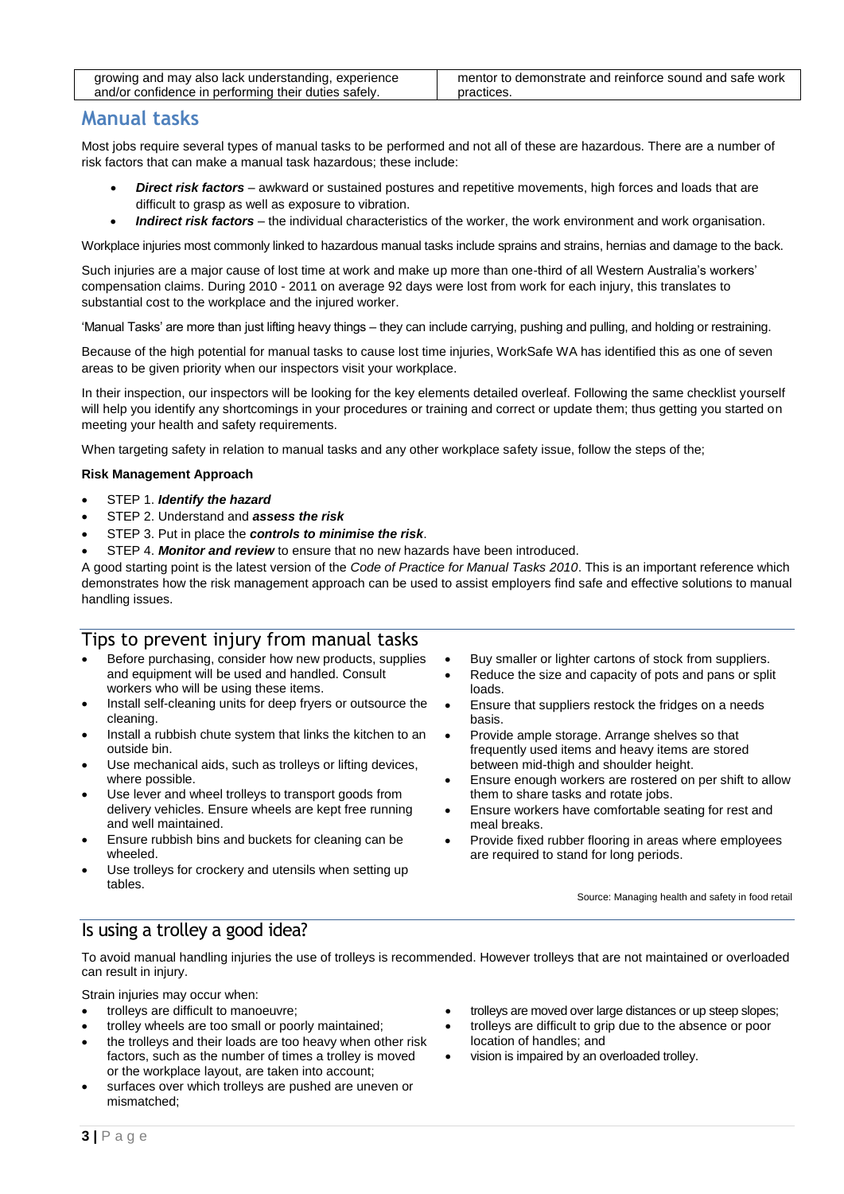## **Manual tasks**

Most jobs require several types of manual tasks to be performed and not all of these are hazardous. There are a number of risk factors that can make a manual task hazardous; these include:

- *Direct risk factors* awkward or sustained postures and repetitive movements, high forces and loads that are difficult to grasp as well as exposure to vibration.
- *Indirect risk factors* the individual characteristics of the worker, the work environment and work organisation.

Workplace injuries most commonly linked to hazardous manual tasks include sprains and strains, hernias and damage to the back.

Such injuries are a major cause of lost time at work and make up more than one-third of all Western Australia's workers' compensation claims. During 2010 - 2011 on average 92 days were lost from work for each injury, this translates to substantial cost to the workplace and the injured worker.

'Manual Tasks' are more than just lifting heavy things – they can include carrying, pushing and pulling, and holding or restraining.

Because of the high potential for manual tasks to cause lost time injuries, WorkSafe WA has identified this as one of seven areas to be given priority when our inspectors visit your workplace.

In their inspection, our inspectors will be looking for the key elements detailed overleaf. Following the same checklist yourself will help you identify any shortcomings in your procedures or training and correct or update them; thus getting you started on meeting your health and safety requirements.

When targeting safety in relation to manual tasks and any other workplace safety issue, follow the steps of the:

#### **Risk Management Approach**

- STEP 1. *Identify the hazard*
- STEP 2. Understand and *assess the risk*
- STEP 3. Put in place the *controls to minimise the risk*.
- STEP 4. *Monitor and review* to ensure that no new hazards have been introduced.

A good starting point is the latest version of the *Code of Practice for Manual Tasks 2010*. This is an important reference which demonstrates how the risk management approach can be used to assist employers find safe and effective solutions to manual handling issues.

#### Tips to prevent injury from manual tasks

- Before purchasing, consider how new products, supplies and equipment will be used and handled. Consult workers who will be using these items.
- Install self-cleaning units for deep fryers or outsource the cleaning.
- Install a rubbish chute system that links the kitchen to an outside bin.
- Use mechanical aids, such as trolleys or lifting devices, where possible.
- Use lever and wheel trolleys to transport goods from delivery vehicles. Ensure wheels are kept free running and well maintained.
- Ensure rubbish bins and buckets for cleaning can be wheeled.
- Use trolleys for crockery and utensils when setting up tables.
- Buy smaller or lighter cartons of stock from suppliers.
- Reduce the size and capacity of pots and pans or split loads.
- Ensure that suppliers restock the fridges on a needs basis.
- Provide ample storage. Arrange shelves so that frequently used items and heavy items are stored between mid-thigh and shoulder height.
- Ensure enough workers are rostered on per shift to allow them to share tasks and rotate jobs.
- Ensure workers have comfortable seating for rest and meal breaks.
- Provide fixed rubber flooring in areas where employees are required to stand for long periods.

Source: Managing health and safety in food retail

#### Is using a trolley a good idea?

To avoid manual handling injuries the use of trolleys is recommended. However trolleys that are not maintained or overloaded can result in injury.

Strain injuries may occur when:

- trolleys are difficult to manoeuvre;
- trolley wheels are too small or poorly maintained;
- the trolleys and their loads are too heavy when other risk factors, such as the number of times a trolley is moved or the workplace layout, are taken into account;
- surfaces over which trolleys are pushed are uneven or mismatched;
- trolleys are moved over large distances or up steep slopes;
- trolleys are difficult to grip due to the absence or poor location of handles; and
- vision is impaired by an overloaded trolley.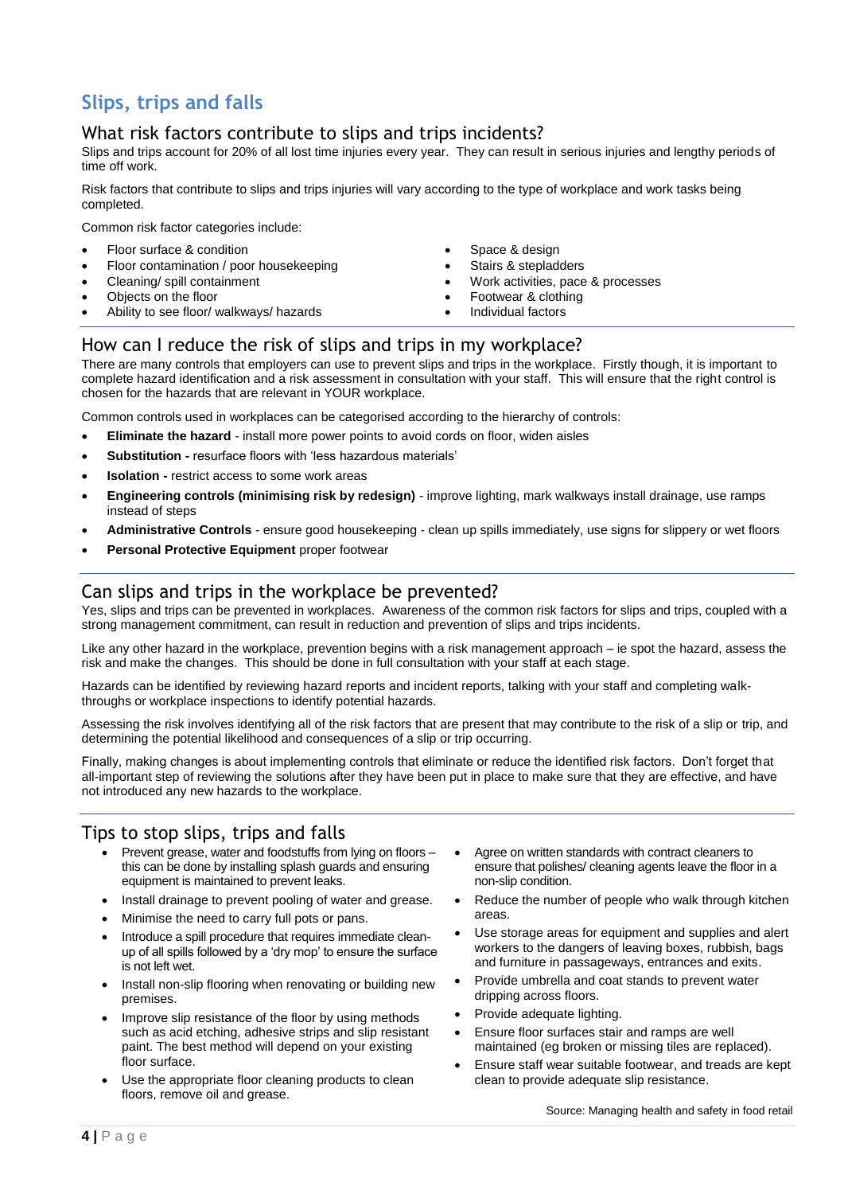## **Slips, trips and falls**

## What risk factors contribute to slips and trips incidents?

Slips and trips account for 20% of all lost time injuries every year. They can result in serious injuries and lengthy periods of time off work.

Risk factors that contribute to slips and trips injuries will vary according to the type of workplace and work tasks being completed.

Common risk factor categories include:

- Floor surface & condition
- Floor contamination / poor housekeeping
- Cleaning/ spill containment
- Objects on the floor
- Ability to see floor/ walkways/ hazards
- Space & design
- Stairs & stepladders
- Work activities, pace & processes
- Footwear & clothing
- Individual factors

#### How can I reduce the risk of slips and trips in my workplace?

There are many controls that employers can use to prevent slips and trips in the workplace. Firstly though, it is important to complete hazard identification and a risk assessment in consultation with your staff. This will ensure that the right control is chosen for the hazards that are relevant in YOUR workplace.

Common controls used in workplaces can be categorised according to the hierarchy of controls:

- **Eliminate the hazard**  install more power points to avoid cords on floor, widen aisles
- **Substitution -** resurface floors with 'less hazardous materials'
- **Isolation -** restrict access to some work areas
- **Engineering controls (minimising risk by redesign)** improve lighting, mark walkways install drainage, use ramps instead of steps
- **Administrative Controls** ensure good housekeeping clean up spills immediately, use signs for slippery or wet floors
- **Personal Protective Equipment** proper footwear

#### Can slips and trips in the workplace be prevented?

Yes, slips and trips can be prevented in workplaces. Awareness of the common risk factors for slips and trips, coupled with a strong management commitment, can result in reduction and prevention of slips and trips incidents.

Like any other hazard in the workplace, prevention begins with a risk management approach – ie spot the hazard, assess the risk and make the changes. This should be done in full consultation with your staff at each stage.

Hazards can be identified by reviewing hazard reports and incident reports, talking with your staff and completing walkthroughs or workplace inspections to identify potential hazards.

Assessing the risk involves identifying all of the risk factors that are present that may contribute to the risk of a slip or trip, and determining the potential likelihood and consequences of a slip or trip occurring.

Finally, making changes is about implementing controls that eliminate or reduce the identified risk factors. Don't forget that all-important step of reviewing the solutions after they have been put in place to make sure that they are effective, and have not introduced any new hazards to the workplace.

#### Tips to stop slips, trips and falls

- Prevent grease, water and foodstuffs from lying on floors this can be done by installing splash guards and ensuring equipment is maintained to prevent leaks.
- Install drainage to prevent pooling of water and grease.
- Minimise the need to carry full pots or pans.
- Introduce a spill procedure that requires immediate cleanup of all spills followed by a 'dry mop' to ensure the surface is not left wet.
- Install non-slip flooring when renovating or building new premises.
- Improve slip resistance of the floor by using methods such as acid etching, adhesive strips and slip resistant paint. The best method will depend on your existing floor surface.
- Use the appropriate floor cleaning products to clean floors, remove oil and grease.
- Agree on written standards with contract cleaners to ensure that polishes/ cleaning agents leave the floor in a non-slip condition.
- Reduce the number of people who walk through kitchen areas.
- Use storage areas for equipment and supplies and alert workers to the dangers of leaving boxes, rubbish, bags and furniture in passageways, entrances and exits.
- Provide umbrella and coat stands to prevent water dripping across floors.
- Provide adequate lighting.
- Ensure floor surfaces stair and ramps are well maintained (eg broken or missing tiles are replaced).
- Ensure staff wear suitable footwear, and treads are kept clean to provide adequate slip resistance.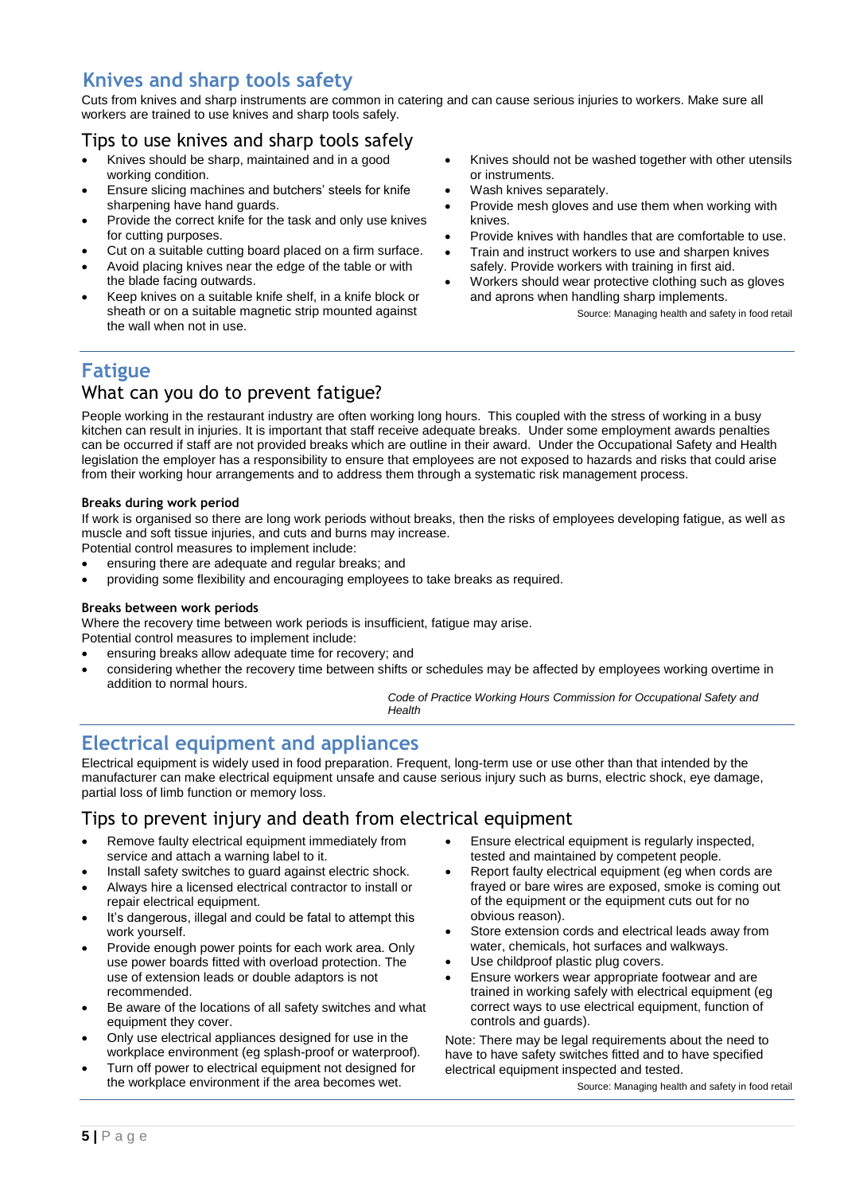## **Knives and sharp tools safety**

Cuts from knives and sharp instruments are common in catering and can cause serious injuries to workers. Make sure all workers are trained to use knives and sharp tools safely.

## Tips to use knives and sharp tools safely

- Knives should be sharp, maintained and in a good working condition.
- Ensure slicing machines and butchers' steels for knife sharpening have hand guards.
- Provide the correct knife for the task and only use knives for cutting purposes.
- Cut on a suitable cutting board placed on a firm surface.
- Avoid placing knives near the edge of the table or with the blade facing outwards.
- Keep knives on a suitable knife shelf, in a knife block or sheath or on a suitable magnetic strip mounted against the wall when not in use.
- Knives should not be washed together with other utensils or instruments.
- Wash knives separately.
- Provide mesh gloves and use them when working with knives.
- Provide knives with handles that are comfortable to use.
- Train and instruct workers to use and sharpen knives safely. Provide workers with training in first aid.
- Workers should wear protective clothing such as gloves and aprons when handling sharp implements.

Source: Managing health and safety in food retail

## **Fatigue**

## What can you do to prevent fatigue?

People working in the restaurant industry are often working long hours. This coupled with the stress of working in a busy kitchen can result in injuries. It is important that staff receive adequate breaks. Under some employment awards penalties can be occurred if staff are not provided breaks which are outline in their award. Under the Occupational Safety and Health legislation the employer has a responsibility to ensure that employees are not exposed to hazards and risks that could arise from their working hour arrangements and to address them through a systematic risk management process.

#### **Breaks during work period**

If work is organised so there are long work periods without breaks, then the risks of employees developing fatigue, as well as muscle and soft tissue injuries, and cuts and burns may increase.

Potential control measures to implement include:

- ensuring there are adequate and regular breaks; and
- providing some flexibility and encouraging employees to take breaks as required.

#### **Breaks between work periods**

Where the recovery time between work periods is insufficient, fatigue may arise.

- Potential control measures to implement include:
- ensuring breaks allow adequate time for recovery; and
- considering whether the recovery time between shifts or schedules may be affected by employees working overtime in addition to normal hours.

*Code of Practice Working Hours Commission for Occupational Safety and Health*

## **Electrical equipment and appliances**

Electrical equipment is widely used in food preparation. Frequent, long-term use or use other than that intended by the manufacturer can make electrical equipment unsafe and cause serious injury such as burns, electric shock, eye damage, partial loss of limb function or memory loss.

#### Tips to prevent injury and death from electrical equipment

- Remove faulty electrical equipment immediately from service and attach a warning label to it.
- Install safety switches to guard against electric shock.
- Always hire a licensed electrical contractor to install or repair electrical equipment.
- It's dangerous, illegal and could be fatal to attempt this work yourself.
- Provide enough power points for each work area. Only use power boards fitted with overload protection. The use of extension leads or double adaptors is not recommended.
- Be aware of the locations of all safety switches and what equipment they cover.
- Only use electrical appliances designed for use in the workplace environment (eg splash-proof or waterproof).
- Turn off power to electrical equipment not designed for the workplace environment if the area becomes wet.
- Ensure electrical equipment is regularly inspected, tested and maintained by competent people.
- Report faulty electrical equipment (eg when cords are frayed or bare wires are exposed, smoke is coming out of the equipment or the equipment cuts out for no obvious reason).
- Store extension cords and electrical leads away from water, chemicals, hot surfaces and walkways.
- Use childproof plastic plug covers.
- Ensure workers wear appropriate footwear and are trained in working safely with electrical equipment (eg correct ways to use electrical equipment, function of controls and guards).

Note: There may be legal requirements about the need to have to have safety switches fitted and to have specified electrical equipment inspected and tested.

Source: Managing health and safety in food retail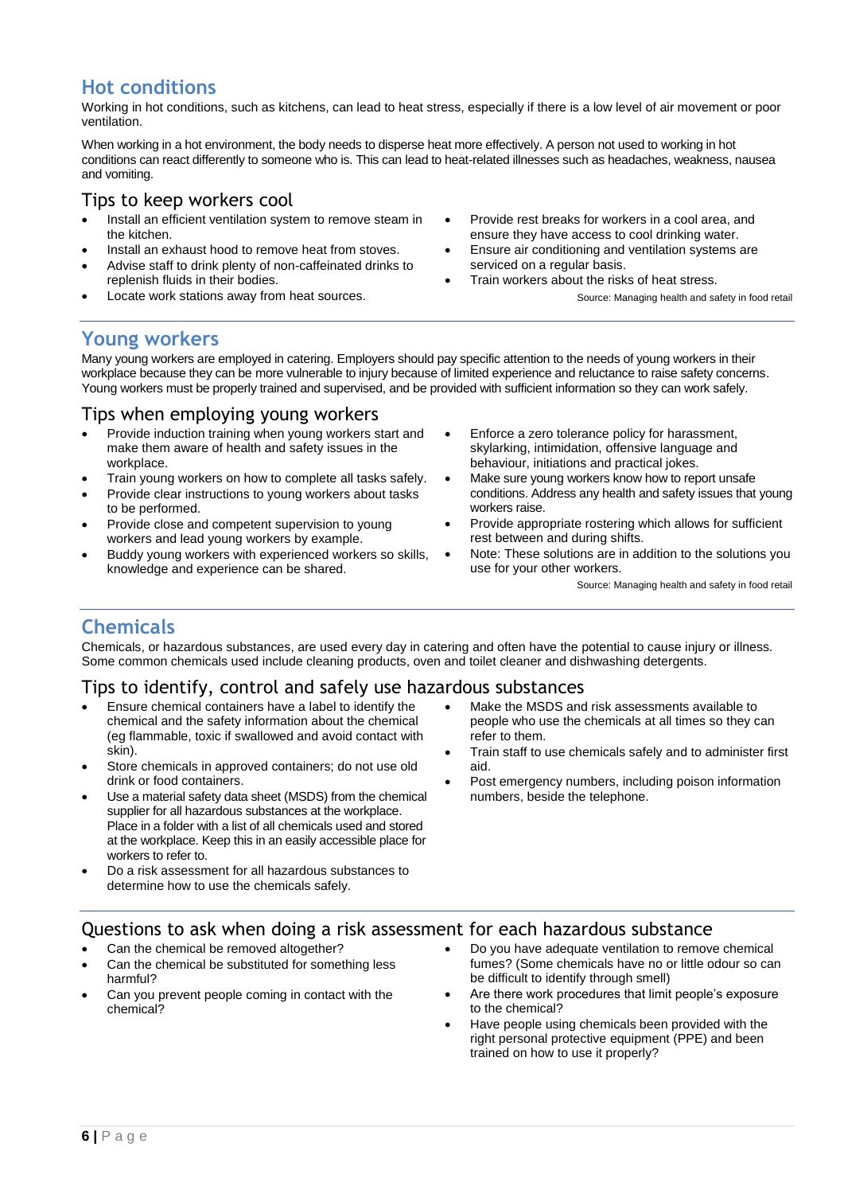## **Hot conditions**

Working in hot conditions, such as kitchens, can lead to heat stress, especially if there is a low level of air movement or poor ventilation.

When working in a hot environment, the body needs to disperse heat more effectively. A person not used to working in hot conditions can react differently to someone who is. This can lead to heat-related illnesses such as headaches, weakness, nausea and vomiting.

#### Tips to keep workers cool

- Install an efficient ventilation system to remove steam in the kitchen.
- Install an exhaust hood to remove heat from stoves.
- Advise staff to drink plenty of non-caffeinated drinks to replenish fluids in their bodies.
- Locate work stations away from heat sources.
- Provide rest breaks for workers in a cool area, and ensure they have access to cool drinking water.
- Ensure air conditioning and ventilation systems are serviced on a regular basis.
- Train workers about the risks of heat stress.

Source: Managing health and safety in food retail

## **Young workers**

Many young workers are employed in catering. Employers should pay specific attention to the needs of young workers in their workplace because they can be more vulnerable to injury because of limited experience and reluctance to raise safety concerns. Young workers must be properly trained and supervised, and be provided with sufficient information so they can work safely.

#### Tips when employing young workers

- Provide induction training when young workers start and make them aware of health and safety issues in the workplace.
- Train young workers on how to complete all tasks safely.
- Provide clear instructions to young workers about tasks to be performed.
- Provide close and competent supervision to young workers and lead young workers by example.
- Buddy young workers with experienced workers so skills, knowledge and experience can be shared.
- Enforce a zero tolerance policy for harassment, skylarking, intimidation, offensive language and behaviour, initiations and practical jokes.
- Make sure young workers know how to report unsafe conditions. Address any health and safety issues that young workers raise.
- Provide appropriate rostering which allows for sufficient rest between and during shifts.
- Note: These solutions are in addition to the solutions you use for your other workers.

Source: Managing health and safety in food retail

## **Chemicals**

Chemicals, or hazardous substances, are used every day in catering and often have the potential to cause injury or illness. Some common chemicals used include cleaning products, oven and toilet cleaner and dishwashing detergents.

## Tips to identify, control and safely use hazardous substances

- Ensure chemical containers have a label to identify the chemical and the safety information about the chemical (eg flammable, toxic if swallowed and avoid contact with skin).
- Store chemicals in approved containers; do not use old drink or food containers.
- Use a material safety data sheet (MSDS) from the chemical supplier for all hazardous substances at the workplace. Place in a folder with a list of all chemicals used and stored at the workplace. Keep this in an easily accessible place for workers to refer to.
- Do a risk assessment for all hazardous substances to determine how to use the chemicals safely.
- Make the MSDS and risk assessments available to people who use the chemicals at all times so they can refer to them.
- Train staff to use chemicals safely and to administer first aid.
- Post emergency numbers, including poison information numbers, beside the telephone.

## Questions to ask when doing a risk assessment for each hazardous substance

- Can the chemical be removed altogether?
- Can the chemical be substituted for something less harmful?
- Can you prevent people coming in contact with the chemical?
- Do you have adequate ventilation to remove chemical fumes? (Some chemicals have no or little odour so can be difficult to identify through smell)
- Are there work procedures that limit people's exposure to the chemical?
- Have people using chemicals been provided with the right personal protective equipment (PPE) and been trained on how to use it properly?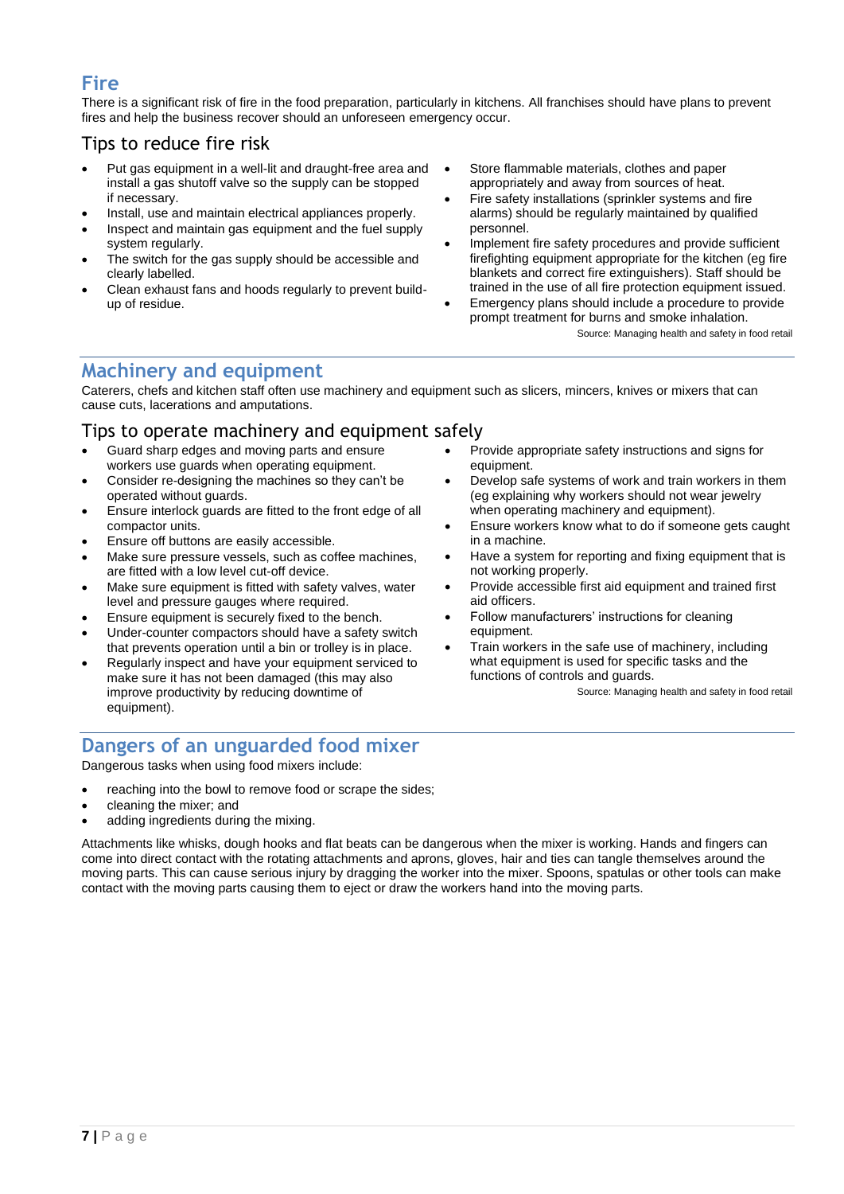## **Fire**

There is a significant risk of fire in the food preparation, particularly in kitchens. All franchises should have plans to prevent fires and help the business recover should an unforeseen emergency occur.

## Tips to reduce fire risk

- Put gas equipment in a well-lit and draught-free area and install a gas shutoff valve so the supply can be stopped if necessary.
- Install, use and maintain electrical appliances properly.
- Inspect and maintain gas equipment and the fuel supply system regularly.
- The switch for the gas supply should be accessible and clearly labelled.
- Clean exhaust fans and hoods regularly to prevent buildup of residue.
- Store flammable materials, clothes and paper appropriately and away from sources of heat.
- Fire safety installations (sprinkler systems and fire alarms) should be regularly maintained by qualified personnel.
- Implement fire safety procedures and provide sufficient firefighting equipment appropriate for the kitchen (eg fire blankets and correct fire extinguishers). Staff should be trained in the use of all fire protection equipment issued.
- Emergency plans should include a procedure to provide prompt treatment for burns and smoke inhalation.

Source: Managing health and safety in food retail

## **Machinery and equipment**

Caterers, chefs and kitchen staff often use machinery and equipment such as slicers, mincers, knives or mixers that can cause cuts, lacerations and amputations.

#### Tips to operate machinery and equipment safely Provide appropriate safety instructions and signs for

- Guard sharp edges and moving parts and ensure workers use guards when operating equipment.
- Consider re-designing the machines so they can't be operated without guards.
- Ensure interlock guards are fitted to the front edge of all compactor units.
- Ensure off buttons are easily accessible.
- Make sure pressure vessels, such as coffee machines, are fitted with a low level cut-off device.
- Make sure equipment is fitted with safety valves, water level and pressure gauges where required.
- Ensure equipment is securely fixed to the bench.
- Under-counter compactors should have a safety switch that prevents operation until a bin or trolley is in place.
- Regularly inspect and have your equipment serviced to make sure it has not been damaged (this may also improve productivity by reducing downtime of equipment).
- equipment. Develop safe systems of work and train workers in them (eg explaining why workers should not wear jewelry
- when operating machinery and equipment). Ensure workers know what to do if someone gets caught in a machine.
- Have a system for reporting and fixing equipment that is not working properly.
- Provide accessible first aid equipment and trained first aid officers.
- Follow manufacturers' instructions for cleaning equipment.
- Train workers in the safe use of machinery, including what equipment is used for specific tasks and the functions of controls and quards.

Source: Managing health and safety in food retail

## **Dangers of an unguarded food mixer**

Dangerous tasks when using food mixers include:

- reaching into the bowl to remove food or scrape the sides;
- cleaning the mixer; and
- adding ingredients during the mixing.

Attachments like whisks, dough hooks and flat beats can be dangerous when the mixer is working. Hands and fingers can come into direct contact with the rotating attachments and aprons, gloves, hair and ties can tangle themselves around the moving parts. This can cause serious injury by dragging the worker into the mixer. Spoons, spatulas or other tools can make contact with the moving parts causing them to eject or draw the workers hand into the moving parts.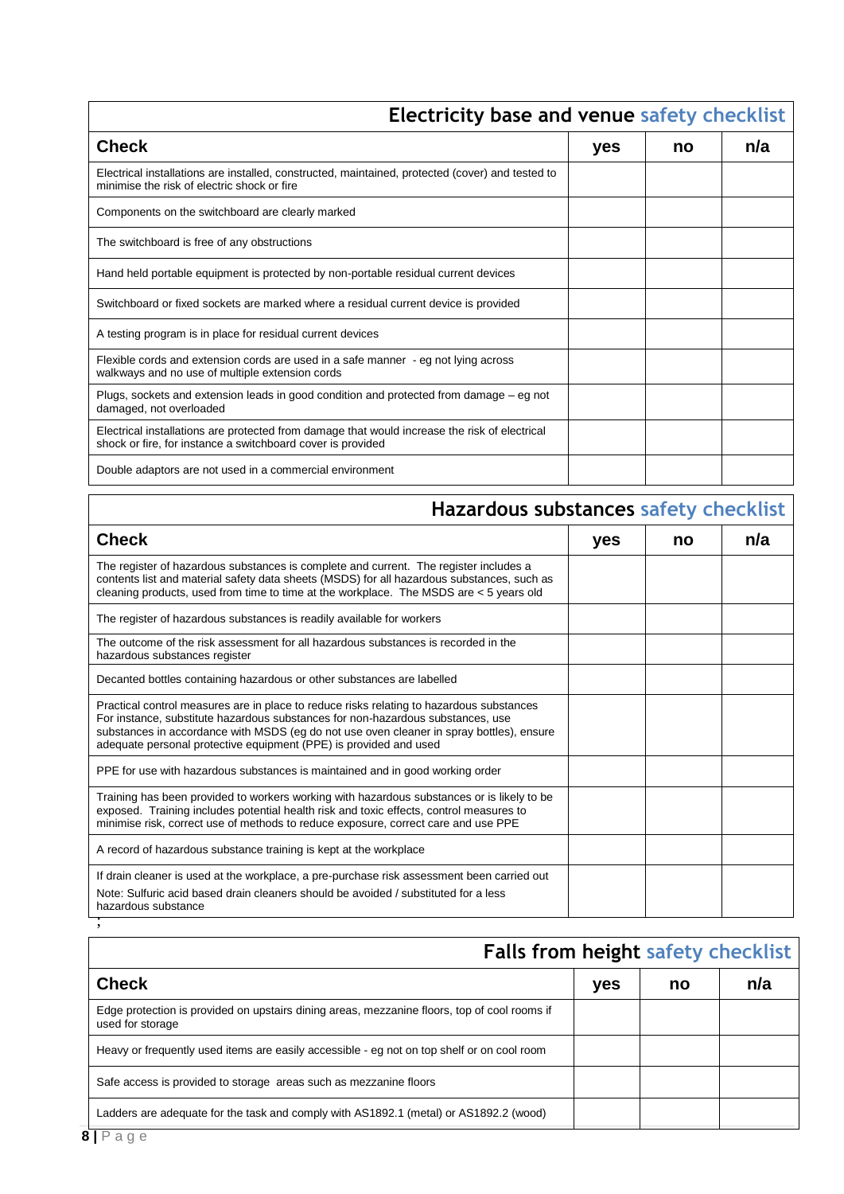| errerey base and vende sarety encennis                                                                                                                       |     |    |     |
|--------------------------------------------------------------------------------------------------------------------------------------------------------------|-----|----|-----|
| <b>Check</b>                                                                                                                                                 | yes | no | n/a |
| Electrical installations are installed, constructed, maintained, protected (cover) and tested to<br>minimise the risk of electric shock or fire              |     |    |     |
| Components on the switchboard are clearly marked                                                                                                             |     |    |     |
| The switchboard is free of any obstructions                                                                                                                  |     |    |     |
| Hand held portable equipment is protected by non-portable residual current devices                                                                           |     |    |     |
| Switchboard or fixed sockets are marked where a residual current device is provided                                                                          |     |    |     |
| A testing program is in place for residual current devices                                                                                                   |     |    |     |
| Flexible cords and extension cords are used in a safe manner - eg not lying across<br>walkways and no use of multiple extension cords                        |     |    |     |
| Plugs, sockets and extension leads in good condition and protected from damage – eg not<br>damaged, not overloaded                                           |     |    |     |
| Electrical installations are protected from damage that would increase the risk of electrical<br>shock or fire, for instance a switchboard cover is provided |     |    |     |
| Double adaptors are not used in a commercial environment                                                                                                     |     |    |     |

## **Electricity base and venue safety checklist**

# **Hazardous substances safety checklist**

| <b>Check</b>                                                                                                                                                                                                                                                                                                                                 | yes | no | n/a |
|----------------------------------------------------------------------------------------------------------------------------------------------------------------------------------------------------------------------------------------------------------------------------------------------------------------------------------------------|-----|----|-----|
| The register of hazardous substances is complete and current. The register includes a<br>contents list and material safety data sheets (MSDS) for all hazardous substances, such as<br>cleaning products, used from time to time at the workplace. The MSDS are < 5 years old                                                                |     |    |     |
| The register of hazardous substances is readily available for workers                                                                                                                                                                                                                                                                        |     |    |     |
| The outcome of the risk assessment for all hazardous substances is recorded in the<br>hazardous substances register                                                                                                                                                                                                                          |     |    |     |
| Decanted bottles containing hazardous or other substances are labelled                                                                                                                                                                                                                                                                       |     |    |     |
| Practical control measures are in place to reduce risks relating to hazardous substances<br>For instance, substitute hazardous substances for non-hazardous substances, use<br>substances in accordance with MSDS (eg do not use oven cleaner in spray bottles), ensure<br>adequate personal protective equipment (PPE) is provided and used |     |    |     |
| PPE for use with hazardous substances is maintained and in good working order                                                                                                                                                                                                                                                                |     |    |     |
| Training has been provided to workers working with hazardous substances or is likely to be<br>exposed. Training includes potential health risk and toxic effects, control measures to<br>minimise risk, correct use of methods to reduce exposure, correct care and use PPE                                                                  |     |    |     |
| A record of hazardous substance training is kept at the workplace                                                                                                                                                                                                                                                                            |     |    |     |
| If drain cleaner is used at the workplace, a pre-purchase risk assessment been carried out                                                                                                                                                                                                                                                   |     |    |     |
| Note: Sulfuric acid based drain cleaners should be avoided / substituted for a less<br>hazardous substance                                                                                                                                                                                                                                   |     |    |     |
|                                                                                                                                                                                                                                                                                                                                              |     |    |     |

|                                                                                                                  | <b>Falls from height safety checklist</b> |    |     |  |
|------------------------------------------------------------------------------------------------------------------|-------------------------------------------|----|-----|--|
| <b>Check</b>                                                                                                     | yes                                       | no | n/a |  |
| Edge protection is provided on upstairs dining areas, mezzanine floors, top of cool rooms if<br>used for storage |                                           |    |     |  |
| Heavy or frequently used items are easily accessible - eg not on top shelf or on cool room                       |                                           |    |     |  |
| Safe access is provided to storage areas such as mezzanine floors                                                |                                           |    |     |  |
| Ladders are adequate for the task and comply with AS1892.1 (metal) or AS1892.2 (wood)                            |                                           |    |     |  |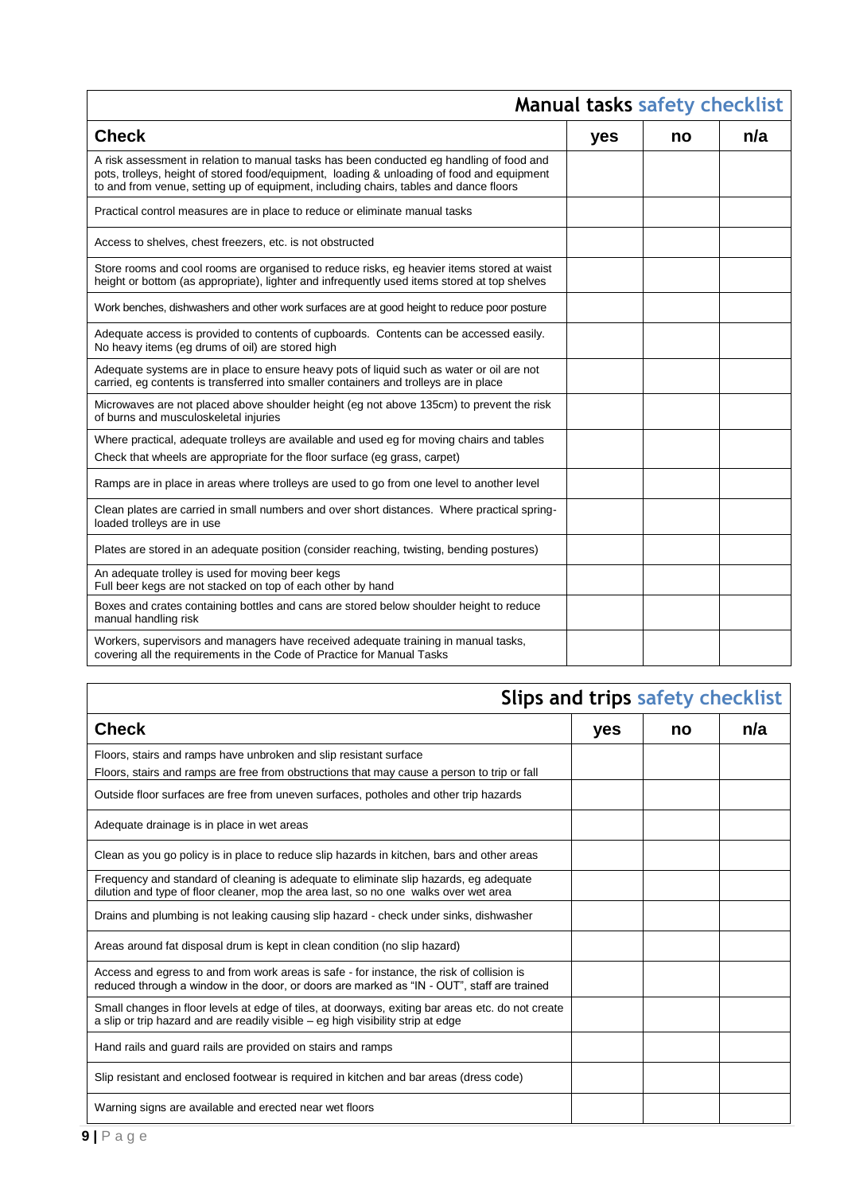| <b>Manual tasks safety checklist</b>                                                                                                                                                                                                                                            |     |    |     |
|---------------------------------------------------------------------------------------------------------------------------------------------------------------------------------------------------------------------------------------------------------------------------------|-----|----|-----|
| <b>Check</b>                                                                                                                                                                                                                                                                    | yes | no | n/a |
| A risk assessment in relation to manual tasks has been conducted eg handling of food and<br>pots, trolleys, height of stored food/equipment, loading & unloading of food and equipment<br>to and from venue, setting up of equipment, including chairs, tables and dance floors |     |    |     |
| Practical control measures are in place to reduce or eliminate manual tasks                                                                                                                                                                                                     |     |    |     |
| Access to shelves, chest freezers, etc. is not obstructed                                                                                                                                                                                                                       |     |    |     |
| Store rooms and cool rooms are organised to reduce risks, eg heavier items stored at waist<br>height or bottom (as appropriate), lighter and infrequently used items stored at top shelves                                                                                      |     |    |     |
| Work benches, dishwashers and other work surfaces are at good height to reduce poor posture                                                                                                                                                                                     |     |    |     |
| Adequate access is provided to contents of cupboards. Contents can be accessed easily.<br>No heavy items (eg drums of oil) are stored high                                                                                                                                      |     |    |     |
| Adequate systems are in place to ensure heavy pots of liquid such as water or oil are not<br>carried, eg contents is transferred into smaller containers and trolleys are in place                                                                                              |     |    |     |
| Microwaves are not placed above shoulder height (eg not above 135cm) to prevent the risk<br>of burns and musculoskeletal injuries                                                                                                                                               |     |    |     |
| Where practical, adequate trolleys are available and used eg for moving chairs and tables<br>Check that wheels are appropriate for the floor surface (eg grass, carpet)                                                                                                         |     |    |     |
| Ramps are in place in areas where trolleys are used to go from one level to another level                                                                                                                                                                                       |     |    |     |
| Clean plates are carried in small numbers and over short distances. Where practical spring-<br>loaded trolleys are in use                                                                                                                                                       |     |    |     |
| Plates are stored in an adequate position (consider reaching, twisting, bending postures)                                                                                                                                                                                       |     |    |     |
| An adequate trolley is used for moving beer kegs<br>Full beer kegs are not stacked on top of each other by hand                                                                                                                                                                 |     |    |     |
| Boxes and crates containing bottles and cans are stored below shoulder height to reduce<br>manual handling risk                                                                                                                                                                 |     |    |     |
| Workers, supervisors and managers have received adequate training in manual tasks,<br>covering all the requirements in the Code of Practice for Manual Tasks                                                                                                                    |     |    |     |

# **Slips and trips safety checklist**

| <b>Check</b>                                                                                                                                                                            | yes | no | n/a |
|-----------------------------------------------------------------------------------------------------------------------------------------------------------------------------------------|-----|----|-----|
| Floors, stairs and ramps have unbroken and slip resistant surface                                                                                                                       |     |    |     |
| Floors, stairs and ramps are free from obstructions that may cause a person to trip or fall                                                                                             |     |    |     |
| Outside floor surfaces are free from uneven surfaces, potholes and other trip hazards                                                                                                   |     |    |     |
| Adequate drainage is in place in wet areas                                                                                                                                              |     |    |     |
| Clean as you go policy is in place to reduce slip hazards in kitchen, bars and other areas                                                                                              |     |    |     |
| Frequency and standard of cleaning is adequate to eliminate slip hazards, eg adequate<br>dilution and type of floor cleaner, mop the area last, so no one walks over wet area           |     |    |     |
| Drains and plumbing is not leaking causing slip hazard - check under sinks, dishwasher                                                                                                  |     |    |     |
| Areas around fat disposal drum is kept in clean condition (no slip hazard)                                                                                                              |     |    |     |
| Access and egress to and from work areas is safe - for instance, the risk of collision is<br>reduced through a window in the door, or doors are marked as "IN - OUT", staff are trained |     |    |     |
| Small changes in floor levels at edge of tiles, at doorways, exiting bar areas etc. do not create<br>a slip or trip hazard and are readily visible $-$ eg high visibility strip at edge |     |    |     |
| Hand rails and guard rails are provided on stairs and ramps                                                                                                                             |     |    |     |
| Slip resistant and enclosed footwear is required in kitchen and bar areas (dress code)                                                                                                  |     |    |     |
| Warning signs are available and erected near wet floors                                                                                                                                 |     |    |     |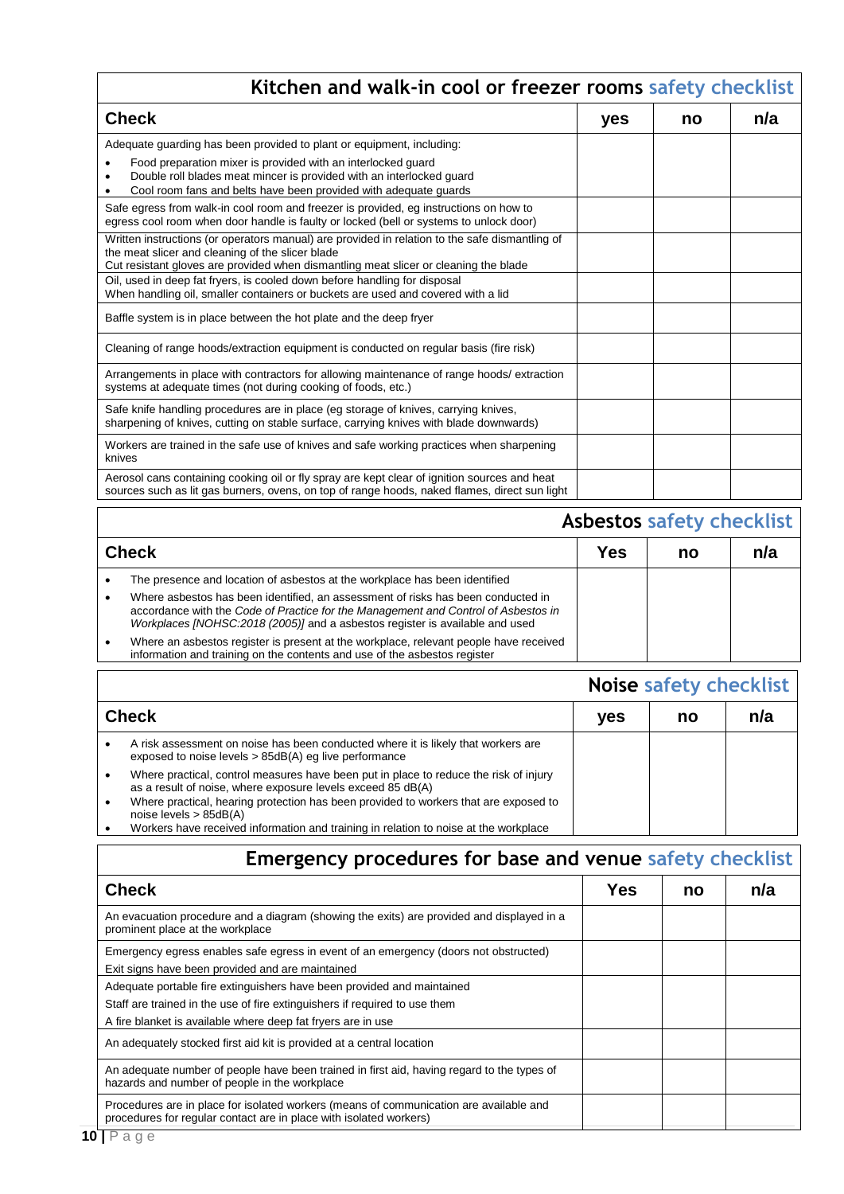| Kitchen and walk-in cool or freezer rooms safety checklist                                                                                                                                                                                                                                                              |     |    |     |  |
|-------------------------------------------------------------------------------------------------------------------------------------------------------------------------------------------------------------------------------------------------------------------------------------------------------------------------|-----|----|-----|--|
| <b>Check</b>                                                                                                                                                                                                                                                                                                            | yes | no | n/a |  |
| Adequate guarding has been provided to plant or equipment, including:<br>Food preparation mixer is provided with an interlocked guard<br>Double roll blades meat mincer is provided with an interlocked quard<br>Cool room fans and belts have been provided with adequate guards                                       |     |    |     |  |
| Safe egress from walk-in cool room and freezer is provided, eg instructions on how to<br>egress cool room when door handle is faulty or locked (bell or systems to unlock door)                                                                                                                                         |     |    |     |  |
| Written instructions (or operators manual) are provided in relation to the safe dismantling of<br>the meat slicer and cleaning of the slicer blade<br>Cut resistant gloves are provided when dismantling meat slicer or cleaning the blade<br>Oil, used in deep fat fryers, is cooled down before handling for disposal |     |    |     |  |
| When handling oil, smaller containers or buckets are used and covered with a lid<br>Baffle system is in place between the hot plate and the deep fryer                                                                                                                                                                  |     |    |     |  |
| Cleaning of range hoods/extraction equipment is conducted on regular basis (fire risk)                                                                                                                                                                                                                                  |     |    |     |  |
| Arrangements in place with contractors for allowing maintenance of range hoods/ extraction<br>systems at adequate times (not during cooking of foods, etc.)                                                                                                                                                             |     |    |     |  |
| Safe knife handling procedures are in place (eg storage of knives, carrying knives,<br>sharpening of knives, cutting on stable surface, carrying knives with blade downwards)                                                                                                                                           |     |    |     |  |
| Workers are trained in the safe use of knives and safe working practices when sharpening<br>knives                                                                                                                                                                                                                      |     |    |     |  |
| Aerosol cans containing cooking oil or fly spray are kept clear of ignition sources and heat<br>sources such as lit gas burners, ovens, on top of range hoods, naked flames, direct sun light                                                                                                                           |     |    |     |  |

|           | <b>Asbestos safety checklist</b>                                                                                                                                                                                                                       |     |    |     |
|-----------|--------------------------------------------------------------------------------------------------------------------------------------------------------------------------------------------------------------------------------------------------------|-----|----|-----|
|           | <b>Check</b>                                                                                                                                                                                                                                           | Yes | no | n/a |
|           | The presence and location of asbestos at the workplace has been identified                                                                                                                                                                             |     |    |     |
| $\bullet$ | Where asbestos has been identified, an assessment of risks has been conducted in<br>accordance with the Code of Practice for the Management and Control of Asbestos in<br>Workplaces [NOHSC:2018 (2005)] and a asbestos register is available and used |     |    |     |
|           | Where an asbestos register is present at the workplace, relevant people have received<br>information and training on the contents and use of the asbestos register                                                                                     |     |    |     |

|                                                                                                                                                                                                                                              | <b>Noise safety checklist</b> |    |     |
|----------------------------------------------------------------------------------------------------------------------------------------------------------------------------------------------------------------------------------------------|-------------------------------|----|-----|
| <b>Check</b>                                                                                                                                                                                                                                 | <b>ves</b>                    | no | n/a |
| A risk assessment on noise has been conducted where it is likely that workers are<br>exposed to noise levels > 85dB(A) eq live performance                                                                                                   |                               |    |     |
| Where practical, control measures have been put in place to reduce the risk of injury<br>as a result of noise, where exposure levels exceed 85 dB(A)<br>Where practical, hearing protection has been provided to workers that are exposed to |                               |    |     |
| noise levels $> 85dB(A)$<br>Workers have received information and training in relation to noise at the workplace                                                                                                                             |                               |    |     |

| <b>Emergency procedures for base and venue safety checklist</b>                                                                                                                                                      |            |    |     |  |
|----------------------------------------------------------------------------------------------------------------------------------------------------------------------------------------------------------------------|------------|----|-----|--|
| <b>Check</b>                                                                                                                                                                                                         | <b>Yes</b> | no | n/a |  |
| An evacuation procedure and a diagram (showing the exits) are provided and displayed in a<br>prominent place at the workplace                                                                                        |            |    |     |  |
| Emergency egress enables safe egress in event of an emergency (doors not obstructed)<br>Exit signs have been provided and are maintained                                                                             |            |    |     |  |
| Adequate portable fire extinguishers have been provided and maintained<br>Staff are trained in the use of fire extinguishers if required to use them<br>A fire blanket is available where deep fat fryers are in use |            |    |     |  |
| An adequately stocked first aid kit is provided at a central location                                                                                                                                                |            |    |     |  |
| An adequate number of people have been trained in first aid, having regard to the types of<br>hazards and number of people in the workplace                                                                          |            |    |     |  |
| Procedures are in place for isolated workers (means of communication are available and<br>procedures for regular contact are in place with isolated workers)                                                         |            |    |     |  |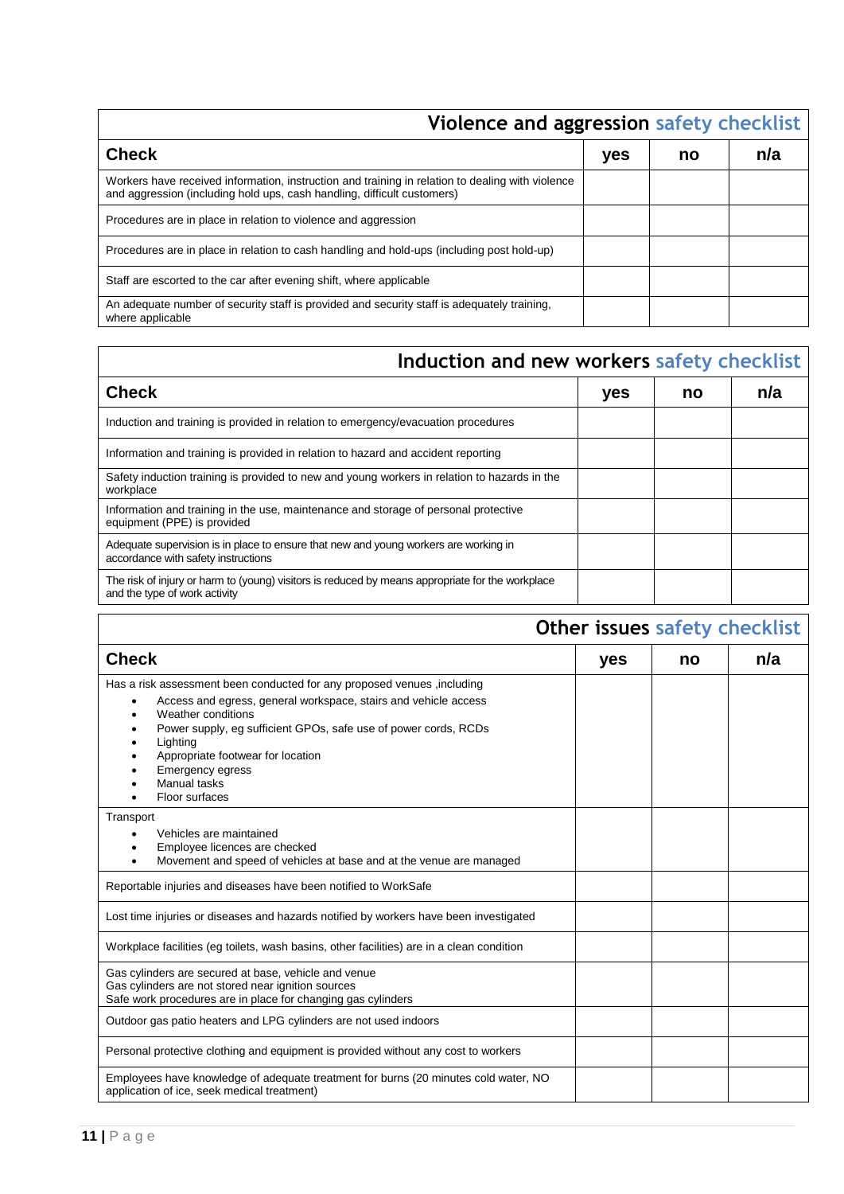# **Violence and aggression safety checklist**

| <b>Check</b>                                                                                                                                                                | yes | no | n/a |
|-----------------------------------------------------------------------------------------------------------------------------------------------------------------------------|-----|----|-----|
| Workers have received information, instruction and training in relation to dealing with violence<br>and aggression (including hold ups, cash handling, difficult customers) |     |    |     |
| Procedures are in place in relation to violence and aggression                                                                                                              |     |    |     |
| Procedures are in place in relation to cash handling and hold-ups (including post hold-up)                                                                                  |     |    |     |
| Staff are escorted to the car after evening shift, where applicable                                                                                                         |     |    |     |
| An adequate number of security staff is provided and security staff is adequately training,<br>where applicable                                                             |     |    |     |

# **Induction and new workers safety checklist**

| <b>Check</b>                                                                                                                      | yes | no | n/a |
|-----------------------------------------------------------------------------------------------------------------------------------|-----|----|-----|
| Induction and training is provided in relation to emergency/evacuation procedures                                                 |     |    |     |
| Information and training is provided in relation to hazard and accident reporting                                                 |     |    |     |
| Safety induction training is provided to new and young workers in relation to hazards in the<br>workplace                         |     |    |     |
| Information and training in the use, maintenance and storage of personal protective<br>equipment (PPE) is provided                |     |    |     |
| Adequate supervision is in place to ensure that new and young workers are working in<br>accordance with safety instructions       |     |    |     |
| The risk of injury or harm to (young) visitors is reduced by means appropriate for the workplace<br>and the type of work activity |     |    |     |

| Other issues safety checklist                                                                                                                                                                                                                                                                                                              |     |    |     |
|--------------------------------------------------------------------------------------------------------------------------------------------------------------------------------------------------------------------------------------------------------------------------------------------------------------------------------------------|-----|----|-----|
| <b>Check</b>                                                                                                                                                                                                                                                                                                                               | yes | no | n/a |
| Has a risk assessment been conducted for any proposed venues, including<br>Access and egress, general workspace, stairs and vehicle access<br>Weather conditions<br>Power supply, eg sufficient GPOs, safe use of power cords, RCDs<br>Lighting<br>Appropriate footwear for location<br>Emergency egress<br>Manual tasks<br>Floor surfaces |     |    |     |
| Transport<br>Vehicles are maintained<br>Employee licences are checked<br>Movement and speed of vehicles at base and at the venue are managed                                                                                                                                                                                               |     |    |     |
| Reportable injuries and diseases have been notified to WorkSafe                                                                                                                                                                                                                                                                            |     |    |     |
| Lost time injuries or diseases and hazards notified by workers have been investigated                                                                                                                                                                                                                                                      |     |    |     |
| Workplace facilities (eg toilets, wash basins, other facilities) are in a clean condition                                                                                                                                                                                                                                                  |     |    |     |
| Gas cylinders are secured at base, vehicle and venue<br>Gas cylinders are not stored near ignition sources<br>Safe work procedures are in place for changing gas cylinders                                                                                                                                                                 |     |    |     |
| Outdoor gas patio heaters and LPG cylinders are not used indoors                                                                                                                                                                                                                                                                           |     |    |     |
| Personal protective clothing and equipment is provided without any cost to workers                                                                                                                                                                                                                                                         |     |    |     |
| Employees have knowledge of adequate treatment for burns (20 minutes cold water, NO<br>application of ice, seek medical treatment)                                                                                                                                                                                                         |     |    |     |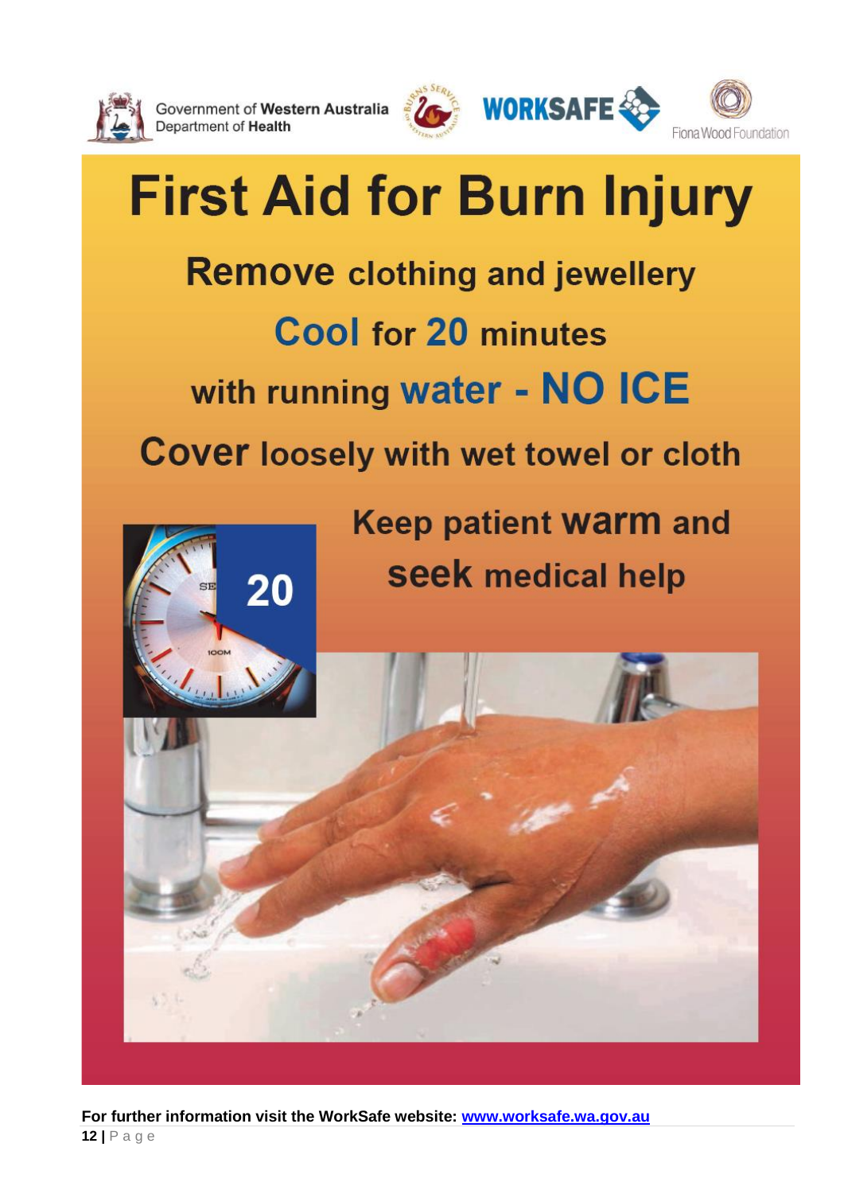

Government of Western Australia Department of Health



**WORKSAFE** 



# **First Aid for Burn Injury Remove clothing and jewellery** Cool for 20 minutes with running water - NO ICE **Cover loosely with wet towel or cloth Keep patient warm and seek medical help** 20